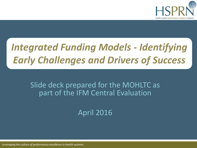

# *Integrated Funding Models - Identifying Early Challenges and Drivers of Success*

Slide deck prepared for the MOHLTC as part of the IFM Central Evaluation

April 2016

*Leveraging the culture of performance excellence in health systems*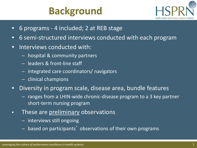# **Background**



- 6 programs 4 included; 2 at REB stage
- 6 semi-structured interviews conducted with each program
- Interviews conducted with:
	- hospital & community partners
	- leaders & front-line staff
	- integrated care coordinators/ navigators
	- clinical champions
- Diversity in program scale, disease area, bundle features
	- ranges from a LHIN-wide chronic-disease program to a 3 key partner short-term nursing program
- These are preliminary observations
	- interviews still ongoing
	- based on participants' observations of their own programs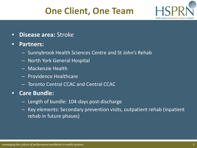# **One Client, One Team**



• **Disease area:** Stroke

#### • **Partners:**

- Sunnybrook Health Sciences Centre and St John's Rehab
- North York General Hospital
- Mackenzie Health
- Providence Healthcare
- Toronto Central CCAC and Central CCAC

### • **Care Bundle:**

- Length of bundle: 104-days post-discharge
- Key elements: Secondary prevention visits, outpatient rehab (inpatient rehab in future phases)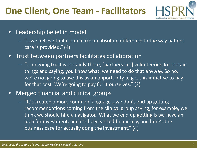# **One Client, One Team - Facilitators**



- Leadership belief in model
	- "…we believe that it can make an absolute difference to the way patient care is provided." (4)
- Trust between partners facilitates collaboration
	- "… ongoing trust is certainly there, [partners are] volunteering for certain things and saying, you know what, we need to do that anyway. So no, we're not going to use this as an opportunity to get this initiative to pay for that cost. We're going to pay for it ourselves." (2)
- Merged financial and clinical groups
	- "It's created a more common language …we don't end up getting recommendations coming from the clinical group saying, for example, we think we should hire a navigator. What we end up getting is we have an idea for investment, and it's been vetted financially, and here's the business case for actually dong the investment." (4)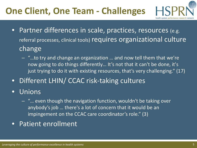# **One Client, One Team - Challenges**



- Partner differences in scale, practices, resources (e.g. referral processes, clinical tools) requires organizational culture change
	- "…to try and change an organization … and now tell them that we're now going to do things differently… It's not that it can't be done, it's just trying to do it with existing resources, that's very challenging." (17)
- Different LHIN/ CCAC risk-taking cultures
- Unions
	- "… even though the navigation function, wouldn't be taking over anybody's job … there's a lot of concern that it would be an impingement on the CCAC care coordinator's role." (3)
- Patient enrollment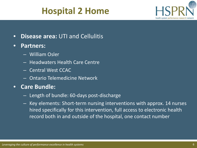## **Hospital 2 Home**



- **Disease area:** UTI and Cellulitis
- **Partners:** 
	- William Osler
	- Headwaters Health Care Centre
	- Central West CCAC
	- Ontario Telemedicine Network

### • **Care Bundle:**

- Length of bundle: 60-days post-discharge
- Key elements: Short-term nursing interventions with approx. 14 nurses hired specifically for this intervention, full access to electronic health record both in and outside of the hospital, one contact number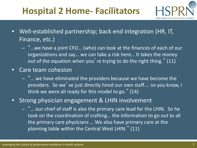# **Hospital 2 Home- Facilitators**



- Well-established partnership; back end integration (HR, IT, Finance, etc.)
	- "…we have a joint CFO… (who) can look at the finances of each of our organizations and say… we can take a risk here… It takes the money out of the equation when you're trying to do the right thing."  $(11)$
- Care team cohesion
	- "… we have eliminated the providers because we have become the providers. So we've just directly hired our own staff.... so you know, I think we were all ready for this model to go." (14)
- Strong physician engagement & LHIN involvement
	- "… our chief of staff is also the primary care lead for the LHIN. So he took on the coordination of crafting… the information to go out to all the primary care physicians … We also have primary care at the planning table within the Central West LHIN." (11)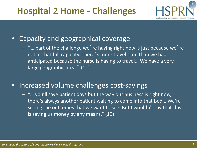## **Hospital 2 Home - Challenges**



### • Capacity and geographical coverage

 $-$  "... part of the challenge we' re having right now is just because we' re not at that full capacity. There's more travel time than we had anticipated because the nurse is having to travel… We have a very large geographic area." (11)

### • Increased volume challenges cost-savings

– "… you'll save patient days but the way our business is right now, there's always another patient waiting to come into that bed… We're seeing the outcomes that we want to see. But I wouldn't say that this is saving us money by any means." (19)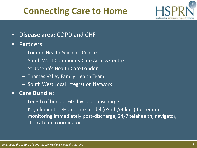## **Connecting Care to Home**



- **Disease area:** COPD and CHF
- **Partners:** 
	- London Health Sciences Centre
	- South West Community Care Access Centre
	- St. Joseph's Health Care London
	- Thames Valley Family Health Team
	- South West Local Integration Network
- **Care Bundle:** 
	- Length of bundle: 60-days post-discharge
	- Key elements: eHomecare model (eShift/eClinic) for remote monitoring immediately post-discharge, 24/7 telehealth, navigator, clinical care coordinator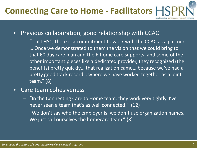# **Connecting Care to Home - Facilitators**

- Previous collaboration; good relationship with CCAC
	- "…at LHSC, there is a commitment to work with the CCAC as a partner. … Once we demonstrated to them the vision that we could bring to that 60 day care plan and the E-home care supports, and some of the other important pieces like a dedicated provider, they recognized (the benefits) pretty quickly… that realization came… because we've had a pretty good track record… where we have worked together as a joint team." (8)
- Care team cohesiveness
	- "In the Connecting Care to Home team, they work very tightly. I've never seen a team that's as well connected." (12)
	- "We don't say who the employer is, we don't use organization names. We just call ourselves the homecare team." (8)

health system performance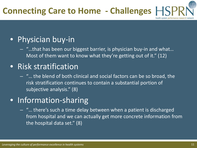### • Physician buy-in

– "…that has been our biggest barrier, is physician buy-in and what… Most of them want to know what they're getting out of it." (12)

### • Risk stratification

– "… the blend of both clinical and social factors can be so broad, the risk stratification continues to contain a substantial portion of subjective analysis." (8)

### • Information-sharing

– "… there's such a time delay between when a patient is discharged from hospital and we can actually get more concrete information from the hospital data set." (8)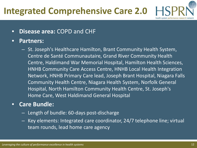# **Integrated Comprehensive Care 2.0**

#### • **Disease area:** COPD and CHF

#### • **Partners:**

– St. Joseph's Healthcare Hamilton, Brant Community Health System, Centre de Santé Communautaire, Grand River Community Health Centre, Haldimand War Memorial Hospital, Hamilton Health Sciences, HNHB Community Care Access Centre, HNHB Local Health Integration Network, HNHB Primary Care lead, Joseph Brant Hospital, Niagara Falls Community Health Centre, Niagara Health System, Norfolk General Hospital, North Hamilton Community Health Centre, St. Joseph's Home Care, West Haldimand General Hospital

#### • **Care Bundle:**

- Length of bundle: 60-days post-discharge
- Key elements: Integrated care coordinator, 24/7 telephone line; virtual team rounds, lead home care agency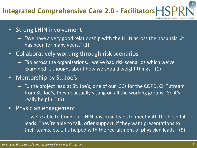## **Integrated Comprehensive Care 2.0 - Facilitators**

- Strong LHIN involvement
	- "We have a very good relationship with the LHIN across the hospitals…it has been for many years." (1)
- Collaboratively working through risk scenarios
	- "So across the organizations… we've had risk scenarios which we've examined … thought about how we should weight things." (1)
- Mentorship by St. Joe's
	- "…the project lead at St. Joe's, one of our ICCs for the COPD, CHF stream from St. Joe's, they're actually sitting on all the working groups. So it's really helpful." (5)
- Physician engagement
	- "…we're able to bring our LHIN physician leads to meet with the hospital leads. They're able to talk, offer support, if they want presentations to their teams, etc…It's helped with the recruitment of physician leads." (5)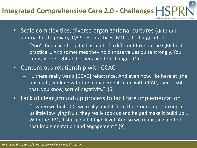# **Integrated Comprehensive Care 2.0 - Challenges**

- Scale complexities; diverse organizational cultures (different approaches to privacy, QBP best practices, MOU, discharge, etc.)
	- "You'll find each hospital has a bit of a different take on the QBP best practice … And sometimes they hold those values quite strongly. You know, we're right and others need to change." (1)
- Contentious relationship with CCAC
	- "…there really was a [CCAC] reluctance. And even now, like here at [the hospital], working with the management team with CCAC, there's still that, you know, sort of negativity." (6)

• Lack of clear ground-up process to facilitate implementation

– "…when we built ICC, we really built it from the ground up. Looking at us little low lying fruit, they really took us and helped make it build up… With the IFM, it started a bit high level. And so we're missing a bit of that implementation and engagement." (9)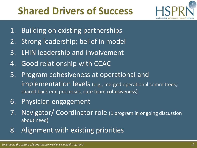# **Shared Drivers of Success**



- 1. Building on existing partnerships
- 2. Strong leadership; belief in model
- 3. LHIN leadership and involvement
- 4. Good relationship with CCAC
- 5. Program cohesiveness at operational and implementation levels (e.g., merged operational committees; shared back end processes, care team cohesiveness)
- 6. Physician engagement
- 7. Navigator/ Coordinator role (1 program in ongoing discussion about need)
- 8. Alignment with existing priorities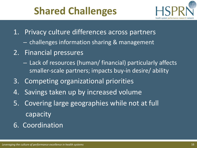# **Shared Challenges**



- 1. Privacy culture differences across partners
	- challenges information sharing & management
- 2. Financial pressures
	- Lack of resources (human/ financial) particularly affects smaller-scale partners; impacts buy-in desire/ ability
- 3. Competing organizational priorities
- 4. Savings taken up by increased volume
- 5. Covering large geographies while not at full capacity
- 6. Coordination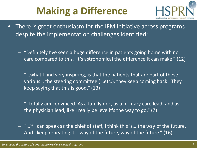# **Making a Difference**



- There is great enthusiasm for the IFM initiative across programs despite the implementation challenges identified:
	- "Definitely I've seen a huge difference in patients going home with no care compared to this. It's astronomical the difference it can make." (12)
	- $\left\vert -\right\vert$  "...what I find very inspiring, is that the patients that are part of these various… the steering committee (…etc.), they keep coming back. They keep saying that this is good." (13)
	- "I totally am convinced. As a family doc, as a primary care lead, and as the physician lead, like I really believe it's the way to go." (7)
	- "…if I can speak as the chief of staff, I think this is… the way of the future. And I keep repeating it – way of the future, way of the future."  $(16)$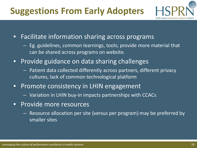# **Suggestions From Early Adopters**



- Facilitate information sharing across programs
	- Eg. guidelines, common learnings, tools; provide more material that can be shared across programs on website.
- Provide guidance on data sharing challenges
	- Patient data collected differently across partners, different privacy cultures, lack of common technological platform
- Promote consistency in LHIN engagement
	- Variation in LHIN buy-in impacts partnerships with CCACs
- Provide more resources
	- Resource allocation per site (versus per program) may be preferred by smaller sites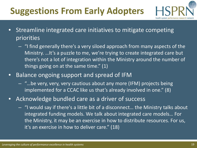# **Suggestions From Early Adopters**



- Streamline integrated care initiatives to mitigate competing priorities
	- "I find generally there's a very siloed approach from many aspects of the Ministry. …It's a puzzle to me, we're trying to create integrated care but there's not a lot of integration within the Ministry around the number of things going on at the same time." (1)
- Balance ongoing support and spread of IFM
	- "…be very, very, very cautious about any more (IFM) projects being implemented for a CCAC like us that's already involved in one." (8)
- Acknowledge bundled care as a driver of success
	- "I would say if there's a little bit of a disconnect… the Ministry talks about integrated funding models. We talk about integrated care models… For the Ministry, it may be an exercise in how to distribute resources. For us, it's an exercise in how to deliver care." (18)